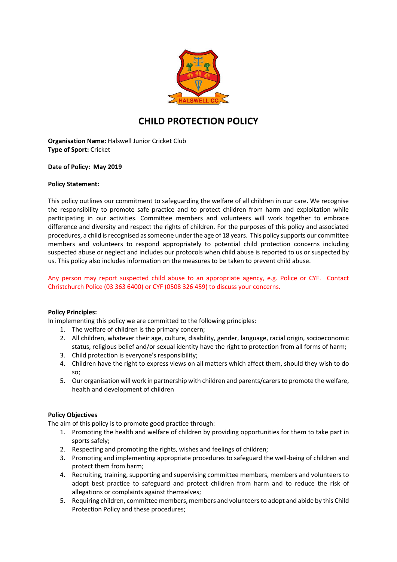

# **CHILD PROTECTION POLICY**

**Organisation Name:** Halswell Junior Cricket Club **Type of Sport:** Cricket

**Date of Policy: May 2019**

## **Policy Statement:**

This policy outlines our commitment to safeguarding the welfare of all children in our care. We recognise the responsibility to promote safe practice and to protect children from harm and exploitation while participating in our activities. Committee members and volunteers will work together to embrace difference and diversity and respect the rights of children. For the purposes of this policy and associated procedures, a child is recognised as someone under the age of 18 years. This policy supports our committee members and volunteers to respond appropriately to potential child protection concerns including suspected abuse or neglect and includes our protocols when child abuse is reported to us or suspected by us. This policy also includes information on the measures to be taken to prevent child abuse.

## Any person may report suspected child abuse to an appropriate agency, e.g. Police or CYF. Contact Christchurch Police (03 363 6400) or CYF (0508 326 459) to discuss your concerns.

#### **Policy Principles:**

In implementing this policy we are committed to the following principles:

- 1. The welfare of children is the primary concern;
- 2. All children, whatever their age, culture, disability, gender, language, racial origin, socioeconomic status, religious belief and/or sexual identity have the right to protection from all forms of harm;
- 3. Child protection is everyone's responsibility;
- 4. Children have the right to express views on all matters which affect them, should they wish to do so;
- 5. Our organisation will work in partnership with children and parents/carers to promote the welfare, health and development of children

## **Policy Objectives**

The aim of this policy is to promote good practice through:

- 1. Promoting the health and welfare of children by providing opportunities for them to take part in sports safely;
- 2. Respecting and promoting the rights, wishes and feelings of children;
- 3. Promoting and implementing appropriate procedures to safeguard the well-being of children and protect them from harm;
- 4. Recruiting, training, supporting and supervising committee members, members and volunteers to adopt best practice to safeguard and protect children from harm and to reduce the risk of allegations or complaints against themselves;
- 5. Requiring children, committee members, members and volunteers to adopt and abide by this Child Protection Policy and these procedures;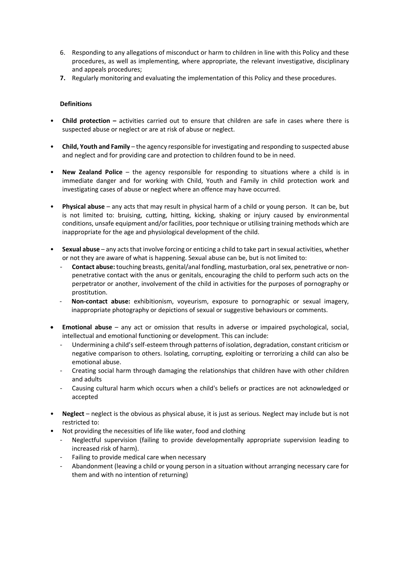- 6. Responding to any allegations of misconduct or harm to children in line with this Policy and these procedures, as well as implementing, where appropriate, the relevant investigative, disciplinary and appeals procedures;
- **7.** Regularly monitoring and evaluating the implementation of this Policy and these procedures.

# **Definitions**

- **Child protection –** activities carried out to ensure that children are safe in cases where there is suspected abuse or neglect or are at risk of abuse or neglect.
- **Child, Youth and Family**  the agency responsible for investigating and responding to suspected abuse and neglect and for providing care and protection to children found to be in need.
- **New Zealand Police**  the agency responsible for responding to situations where a child is in immediate danger and for working with Child, Youth and Family in child protection work and investigating cases of abuse or neglect where an offence may have occurred.
- **Physical abuse**  any acts that may result in physical harm of a child or young person. It can be, but is not limited to: bruising, cutting, hitting, kicking, shaking or injury caused by environmental conditions, unsafe equipment and/or facilities, poor technique or utilising training methods which are inappropriate for the age and physiological development of the child.
- **Sexual abuse**  any acts that involve forcing or enticing a child to take part in sexual activities, whether or not they are aware of what is happening. Sexual abuse can be, but is not limited to:
	- **Contact abuse:** touching breasts, genital/anal fondling, masturbation, oral sex, penetrative or nonpenetrative contact with the anus or genitals, encouraging the child to perform such acts on the perpetrator or another, involvement of the child in activities for the purposes of pornography or prostitution.
	- **Non-contact abuse:** exhibitionism, voyeurism, exposure to pornographic or sexual imagery, inappropriate photography or depictions of sexual or suggestive behaviours or comments.
- **Emotional abuse**  any act or omission that results in adverse or impaired psychological, social, intellectual and emotional functioning or development. This can include:
	- Undermining a child's self-esteem through patterns of isolation, degradation, constant criticism or negative comparison to others. Isolating, corrupting, exploiting or terrorizing a child can also be emotional abuse.
	- Creating social harm through damaging the relationships that children have with other children and adults
	- Causing cultural harm which occurs when a child's beliefs or practices are not acknowledged or accepted
- **Neglect**  neglect is the obvious as physical abuse, it is just as serious. Neglect may include but is not restricted to:
- Not providing the necessities of life like water, food and clothing
	- Neglectful supervision (failing to provide developmentally appropriate supervision leading to increased risk of harm).
	- Failing to provide medical care when necessary
	- Abandonment (leaving a child or young person in a situation without arranging necessary care for them and with no intention of returning)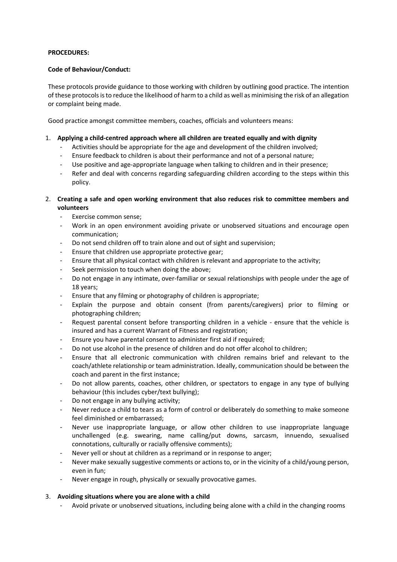## **PROCEDURES:**

## **Code of Behaviour/Conduct:**

These protocols provide guidance to those working with children by outlining good practice. The intention of these protocols is to reduce the likelihood of harm to a child as well as minimising the risk of an allegation or complaint being made.

Good practice amongst committee members, coaches, officials and volunteers means:

## 1. **Applying a child-centred approach where all children are treated equally and with dignity**

- Activities should be appropriate for the age and development of the children involved;
- Ensure feedback to children is about their performance and not of a personal nature;
- Use positive and age-appropriate language when talking to children and in their presence;
- Refer and deal with concerns regarding safeguarding children according to the steps within this policy.
- 2. **Creating a safe and open working environment that also reduces risk to committee members and volunteers**
	- Exercise common sense;
	- Work in an open environment avoiding private or unobserved situations and encourage open communication;
	- Do not send children off to train alone and out of sight and supervision;
	- Ensure that children use appropriate protective gear;
	- Ensure that all physical contact with children is relevant and appropriate to the activity;
	- Seek permission to touch when doing the above:
	- Do not engage in any intimate, over-familiar or sexual relationships with people under the age of 18 years;
	- Ensure that any filming or photography of children is appropriate;
	- Explain the purpose and obtain consent (from parents/caregivers) prior to filming or photographing children;
	- Request parental consent before transporting children in a vehicle ensure that the vehicle is insured and has a current Warrant of Fitness and registration;
	- Ensure you have parental consent to administer first aid if required;
	- Do not use alcohol in the presence of children and do not offer alcohol to children;
	- Ensure that all electronic communication with children remains brief and relevant to the coach/athlete relationship or team administration. Ideally, communication should be between the coach and parent in the first instance;
	- Do not allow parents, coaches, other children, or spectators to engage in any type of bullying behaviour (this includes cyber/text bullying);
	- Do not engage in any bullying activity;
	- Never reduce a child to tears as a form of control or deliberately do something to make someone feel diminished or embarrassed;
	- Never use inappropriate language, or allow other children to use inappropriate language unchallenged (e.g. swearing, name calling/put downs, sarcasm, innuendo, sexualised connotations, culturally or racially offensive comments);
	- Never yell or shout at children as a reprimand or in response to anger;
	- Never make sexually suggestive comments or actions to, or in the vicinity of a child/young person, even in fun;
	- Never engage in rough, physically or sexually provocative games.

# 3. **Avoiding situations where you are alone with a child**

- Avoid private or unobserved situations, including being alone with a child in the changing rooms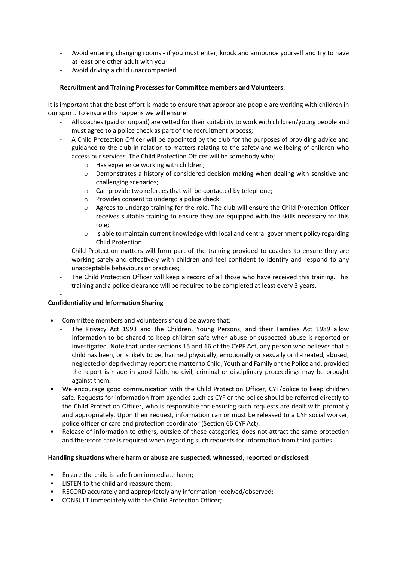- Avoid entering changing rooms if you must enter, knock and announce yourself and try to have at least one other adult with you
- Avoid driving a child unaccompanied

# **Recruitment and Training Processes for Committee members and Volunteers**:

It is important that the best effort is made to ensure that appropriate people are working with children in our sport. To ensure this happens we will ensure:

- All coaches (paid or unpaid) are vetted for their suitability to work with children/young people and must agree to a police check as part of the recruitment process;
- A Child Protection Officer will be appointed by the club for the purposes of providing advice and guidance to the club in relation to matters relating to the safety and wellbeing of children who access our services. The Child Protection Officer will be somebody who;
	- o Has experience working with children;
	- $\circ$  Demonstrates a history of considered decision making when dealing with sensitive and challenging scenarios;
	- o Can provide two referees that will be contacted by telephone;
	- o Provides consent to undergo a police check;
	- o Agrees to undergo training for the role. The club will ensure the Child Protection Officer receives suitable training to ensure they are equipped with the skills necessary for this role;
	- $\circ$  Is able to maintain current knowledge with local and central government policy regarding Child Protection.
- Child Protection matters will form part of the training provided to coaches to ensure they are working safely and effectively with children and feel confident to identify and respond to any unacceptable behaviours or practices;
- The Child Protection Officer will keep a record of all those who have received this training. This training and a police clearance will be required to be completed at least every 3 years.

## **Confidentiality and Information Sharing**

-

- Committee members and volunteers should be aware that:
	- The Privacy Act 1993 and the Children, Young Persons, and their Families Act 1989 allow information to be shared to keep children safe when abuse or suspected abuse is reported or investigated. Note that under sections 15 and 16 of the CYPF Act, any person who believes that a child has been, or is likely to be, harmed physically, emotionally or sexually or ill-treated, abused, neglected or deprived may report the matter to Child, Youth and Family or the Police and, provided the report is made in good faith, no civil, criminal or disciplinary proceedings may be brought against them.
- We encourage good communication with the Child Protection Officer, CYF/police to keep children safe. Requests for information from agencies such as CYF or the police should be referred directly to the Child Protection Officer, who is responsible for ensuring such requests are dealt with promptly and appropriately. Upon their request, information can or must be released to a CYF social worker, police officer or care and protection coordinator (Section 66 CYF Act).
- Release of information to others, outside of these categories, does not attract the same protection and therefore care is required when regarding such requests for information from third parties.

## **Handling situations where harm or abuse are suspected, witnessed, reported or disclosed:**

- Ensure the child is safe from immediate harm;
- LISTEN to the child and reassure them;
- RECORD accurately and appropriately any information received/observed;
- CONSULT immediately with the Child Protection Officer;